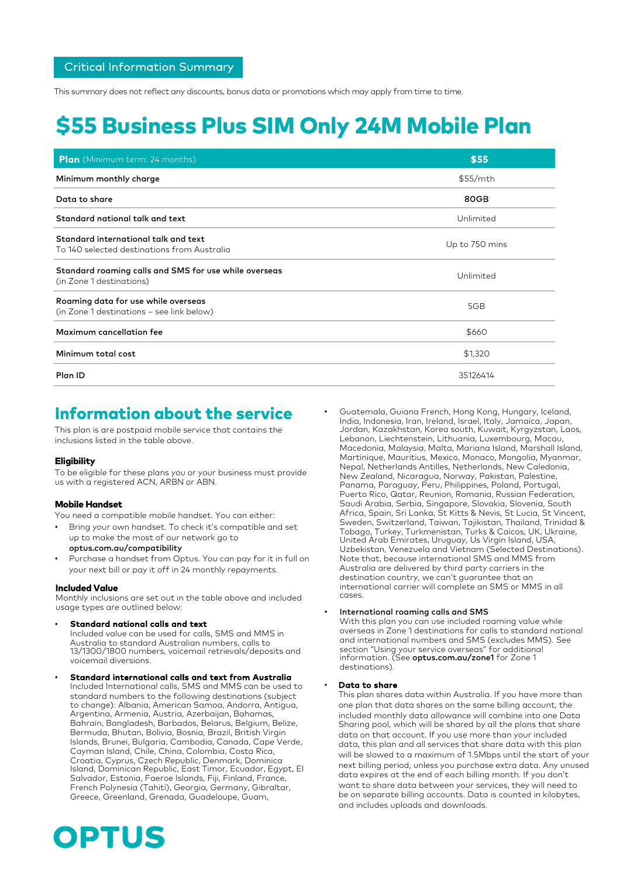Critical Information Summary

This summary does not reflect any discounts, bonus data or promotions which may apply from time to time.

# \$55 Business Plus SIM Only 24M Mobile Plan

| <b>Plan</b> (Minimum term: 24 months)                                               | \$55           |
|-------------------------------------------------------------------------------------|----------------|
| Minimum monthly charge                                                              | \$55/mth       |
| Data to share                                                                       | 80GB           |
| Standard national talk and text                                                     | Unlimited      |
| Standard international talk and text<br>To 140 selected destinations from Australia | Up to 750 mins |
| Standard roaming calls and SMS for use while overseas<br>(in Zone 1 destinations)   | Unlimited      |
| Roaming data for use while overseas<br>(in Zone 1 destinations - see link below)    | 5GB            |
| Maximum cancellation fee                                                            | \$660          |
| Minimum total cost                                                                  | \$1,320        |
| Plan ID                                                                             | 35126414       |

## Information about the service

This plan is are postpaid mobile service that contains the inclusions listed in the table above.

### **Eligibility**

To be eligible for these plans you or your business must provide us with a registered ACN, ARBN or ABN.

### Mobile Handset

You need a compatible mobile handset. You can either:

- Bring your own handset. To check it's compatible and set up to make the most of our network go to
- optus.com.au/compatibility Purchase a handset from Optus. You can pay for it in full on your next bill or pay it off in 24 monthly repayments.

### Included Value

Monthly inclusions are set out in the table above and included usage types are outlined below:

- Standard national calls and text Included value can be used for calls, SMS and MMS in Australia to standard Australian numbers, calls to 13/1300/1800 numbers, voicemail retrievals/deposits and voicemail diversions.
- Standard international calls and text from Australia Included International calls, SMS and MMS can be used to standard numbers to the following destinations (subject to change): Albania, American Samoa, Andorra, Antigua, Argentina, Armenia, Austria, Azerbaijan, Bahamas, Bahrain, Bangladesh, Barbados, Belarus, Belgium, Belize, Bermuda, Bhutan, Bolivia, Bosnia, Brazil, British Virgin Islands, Brunei, Bulgaria, Cambodia, Canada, Cape Verde, Cayman Island, Chile, China, Colombia, Costa Rica, Croatia, Cyprus, Czech Republic, Denmark, Dominica Island, Dominican Republic, East Timor, Ecuador, Egypt, El Salvador, Estonia, Faeroe Islands, Fiji, Finland, France, French Polynesia (Tahiti), Georgia, Germany, Gibraltar, Greece, Greenland, Grenada, Guadeloupe, Guam,
- Guatemala, Guiana French, Hong Kong, Hungary, Iceland, India, Indonesia, Iran, Ireland, Israel, Italy, Jamaica, Japan, Jordan, Kazakhstan, Korea south, Kuwait, Kyrgyzstan, Laos, Lebanon, Liechtenstein, Lithuania, Luxembourg, Macau, Macedonia, Malaysia, Malta, Mariana Island, Marshall Island, Martinique, Mauritius, Mexico, Monaco, Mongolia, Myanmar, Nepal, Netherlands Antilles, Netherlands, New Caledonia, New Zealand, Nicaragua, Norway, Pakistan, Palestine, Panama, Paraguay, Peru, Philippines, Poland, Portugal, Puerto Rico, Qatar, Reunion, Romania, Russian Federation, Saudi Arabia, Serbia, Singapore, Slovakia, Slovenia, South Africa, Spain, Sri Lanka, St Kitts & Nevis, St Lucia, St Vincent, Sweden, Switzerland, Taiwan, Tajikistan, Thailand, Trinidad & Tobago, Turkey, Turkmenistan, Turks & Caicos, UK, Ukraine, United Arab Emirates, Uruguay, Us Virgin Island, USA, Uzbekistan, Venezuela and Vietnam (Selected Destinations). Note that, because international SMS and MMS from Australia are delivered by third party carriers in the destination country, we can't guarantee that an international carrier will complete an SMS or MMS in all cases.

### • International roaming calls and SMS

With this plan you can use included roaming value while overseas in Zone 1 destinations for calls to standard national and international numbers and SMS (excludes MMS). See section "Using your service overseas" for additional<br>information. (See **optus.com.au/zone1** for Zone 1 destinations).

### Data to share

This plan shares data within Australia. If you have more than one plan that data shares on the same billing account, the included monthly data allowance will combine into one Data Sharing pool, which will be shared by all the plans that share data on that account. If you use more than your included data, this plan and all services that share data with this plan will be slowed to a maximum of 1.5Mbps until the start of your next billing period, unless you purchase extra data. Any unused data expires at the end of each billing month. If you don't want to share data between your services, they will need to be on separate billing accounts. Data is counted in kilobytes, and includes uploads and downloads.